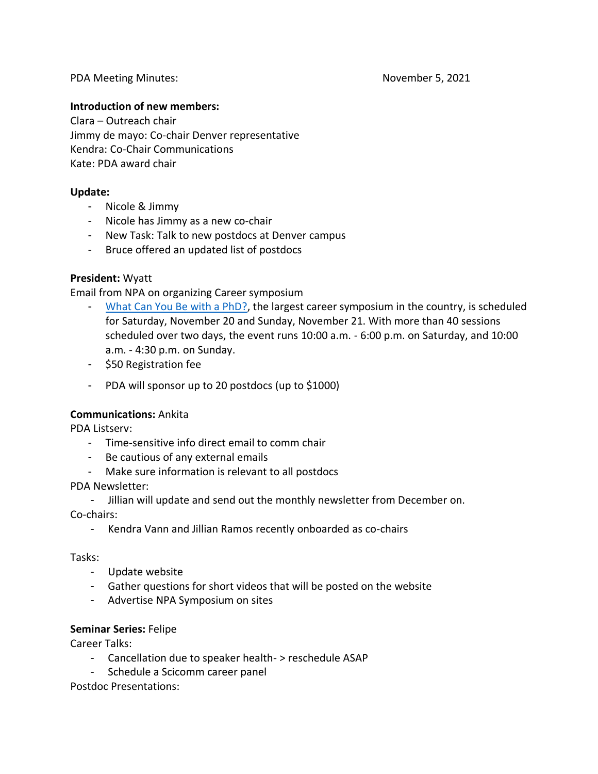## **Introduction of new members:**

Clara – Outreach chair Jimmy de mayo: Co-chair Denver representative Kendra: Co-Chair Communications Kate: PDA award chair

## **Update:**

- Nicole & Jimmy
- Nicole has Jimmy as a new co-chair
- New Task: Talk to new postdocs at Denver campus
- Bruce offered an updated list of postdocs

## **President:** Wyatt

Email from NPA on organizing Career symposium

- [What Can You Be with a PhD?,](http://npassociation.informz.net/z/cjUucD9taT0zNDcwNDkwJnA9MSZ1PTQxNjg1MTQyMyZsaT0zMjIzNzYyOQ/index.html) the largest career symposium in the country, is scheduled for Saturday, November 20 and Sunday, November 21. With more than 40 sessions scheduled over two days, the event runs 10:00 a.m. - 6:00 p.m. on Saturday, and 10:00 a.m. - 4:30 p.m. on Sunday.
- \$50 Registration fee
- PDA will sponsor up to 20 postdocs (up to \$1000)

## **Communications:** Ankita

PDA Listserv:

- Time-sensitive info direct email to comm chair
- Be cautious of any external emails
- Make sure information is relevant to all postdocs

## PDA Newsletter:

- Jillian will update and send out the monthly newsletter from December on.

Co-chairs:

- Kendra Vann and Jillian Ramos recently onboarded as co-chairs

## Tasks:

- Update website
- Gather questions for short videos that will be posted on the website
- Advertise NPA Symposium on sites

## **Seminar Series:** Felipe

Career Talks:

- Cancellation due to speaker health- > reschedule ASAP
- Schedule a Scicomm career panel

Postdoc Presentations: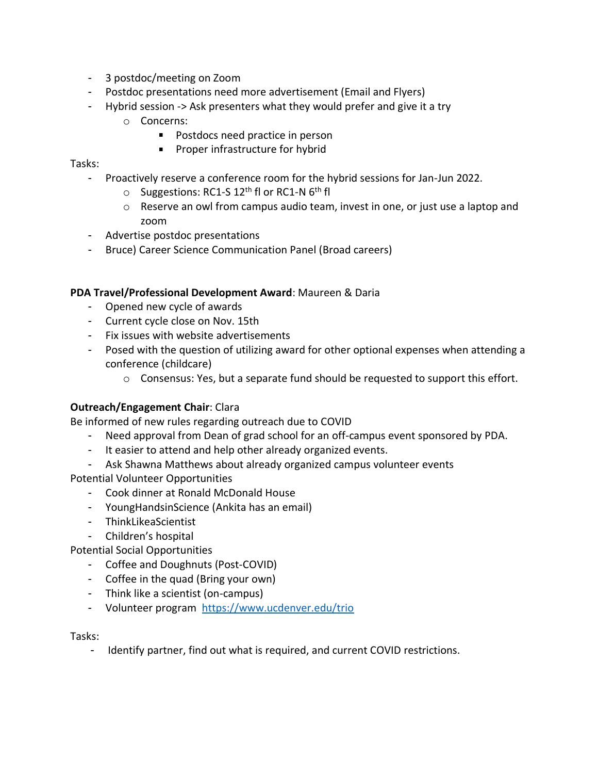- 3 postdoc/meeting on Zoom
- Postdoc presentations need more advertisement (Email and Flyers)
- Hybrid session -> Ask presenters what they would prefer and give it a try
	- o Concerns:
		- **Postdocs need practice in person**
		- **Proper infrastructure for hybrid**

Tasks:

- Proactively reserve a conference room for the hybrid sessions for Jan-Jun 2022.
	- $\circ$  Suggestions: RC1-S 12<sup>th</sup> fl or RC1-N 6<sup>th</sup> fl
	- $\circ$  Reserve an owl from campus audio team, invest in one, or just use a laptop and zoom
- Advertise postdoc presentations
- Bruce) Career Science Communication Panel (Broad careers)

## **PDA Travel/Professional Development Award**: Maureen & Daria

- Opened new cycle of awards
- Current cycle close on Nov. 15th
- Fix issues with website advertisements
- Posed with the question of utilizing award for other optional expenses when attending a conference (childcare)
	- $\circ$  Consensus: Yes, but a separate fund should be requested to support this effort.

## **Outreach/Engagement Chair**: Clara

Be informed of new rules regarding outreach due to COVID

- Need approval from Dean of grad school for an off-campus event sponsored by PDA.
- It easier to attend and help other already organized events.
- Ask Shawna Matthews about already organized campus volunteer events

Potential Volunteer Opportunities

- Cook dinner at Ronald McDonald House
- YoungHandsinScience (Ankita has an email)
- ThinkLikeaScientist
- Children's hospital

Potential Social Opportunities

- Coffee and Doughnuts (Post-COVID)
- Coffee in the quad (Bring your own)
- Think like a scientist (on-campus)
- Volunteer program <https://www.ucdenver.edu/trio>

Tasks:

- Identify partner, find out what is required, and current COVID restrictions.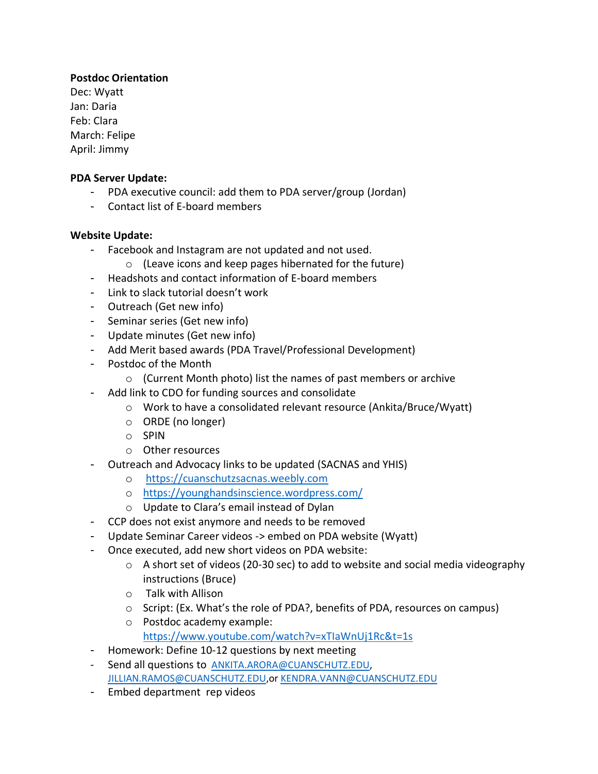# **Postdoc Orientation**

Dec: Wyatt Jan: Daria Feb: Clara March: Felipe April: Jimmy

## **PDA Server Update:**

- PDA executive council: add them to PDA server/group (Jordan)
- Contact list of E-board members

# **Website Update:**

- Facebook and Instagram are not updated and not used.
	- o (Leave icons and keep pages hibernated for the future)
- Headshots and contact information of E-board members
- Link to slack tutorial doesn't work
- Outreach (Get new info)
- Seminar series (Get new info)
- Update minutes (Get new info)
- Add Merit based awards (PDA Travel/Professional Development)
- Postdoc of the Month
	- o (Current Month photo) list the names of past members or archive
- Add link to CDO for funding sources and consolidate
	- o Work to have a consolidated relevant resource (Ankita/Bruce/Wyatt)
	- o ORDE (no longer)
	- o SPIN
	- o Other resources
- Outreach and Advocacy links to be updated (SACNAS and YHIS)
	- o [https://cuanschutzsacnas.weebly.com](https://cuanschutzsacnas.weebly.com/)
	- o <https://younghandsinscience.wordpress.com/>
	- o Update to Clara's email instead of Dylan
- CCP does not exist anymore and needs to be removed
- Update Seminar Career videos -> embed on PDA website (Wyatt)
- Once executed, add new short videos on PDA website:
	- $\circ$  A short set of videos (20-30 sec) to add to website and social media videography instructions (Bruce)
	- o Talk with Allison
	- o Script: (Ex. What's the role of PDA?, benefits of PDA, resources on campus)
	- o Postdoc academy example: <https://www.youtube.com/watch?v=xTIaWnUj1Rc&t=1s>
- Homework: Define 10-12 questions by next meeting
- Send all questions to [ANKITA.ARORA@CUANSCHUTZ.EDU,](mailto:ANKITA.ARORA@CUANSCHUTZ.EDU) [JILLIAN.RAMOS@CUANSCHUTZ.EDU,](mailto:JILLIAN.RAMOS@CUANSCHUTZ.EDU)or [KENDRA.VANN@CUANSCHUTZ.EDU](mailto:KENDRA.VANN@CUANSCHUTZ.EDU)
- Embed department rep videos